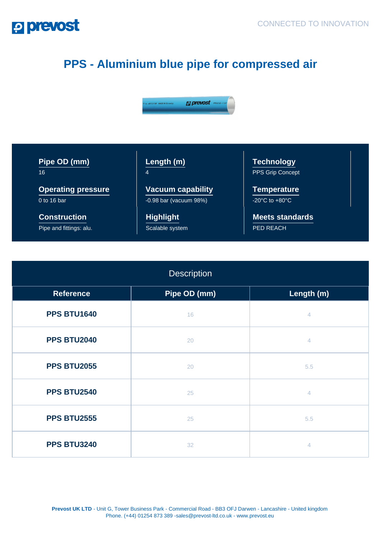## **P prevost**

## **PPS - Aluminium blue pipe for compressed air**



| Pipe OD (mm) |  |
|--------------|--|
| 16           |  |

**Operating pressure** 0 to 16 bar

**Construction** Pipe and fittings: alu. **Length (m)** 4

**Vacuum capability** -0.98 bar (vacuum 98%)

**Highlight** Scalable system

**Technology** PPS Grip Concept

**Temperature**  $-20^{\circ}$ C to  $+80^{\circ}$ C

**Meets standards** PED REACH

| <b>Description</b> |              |                |
|--------------------|--------------|----------------|
| <b>Reference</b>   | Pipe OD (mm) | Length (m)     |
| <b>PPS BTU1640</b> | 16           | 4              |
| <b>PPS BTU2040</b> | 20           | $\overline{4}$ |
| <b>PPS BTU2055</b> | 20           | 5.5            |
| <b>PPS BTU2540</b> | 25           | $\overline{4}$ |
| <b>PPS BTU2555</b> | 25           | 5.5            |
| <b>PPS BTU3240</b> | 32           | $\overline{4}$ |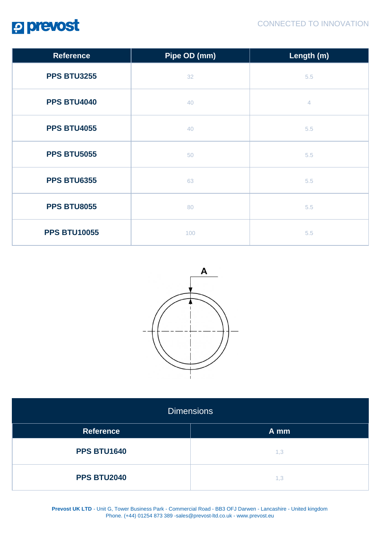

| <b>Reference</b>    | Pipe OD (mm) | Length (m)     |
|---------------------|--------------|----------------|
| <b>PPS BTU3255</b>  | 32           | 5.5            |
| <b>PPS BTU4040</b>  | 40           | $\overline{4}$ |
| <b>PPS BTU4055</b>  | 40           | 5.5            |
| <b>PPS BTU5055</b>  | 50           | 5.5            |
| <b>PPS BTU6355</b>  | 63           | 5.5            |
| <b>PPS BTU8055</b>  | 80           | 5.5            |
| <b>PPS BTU10055</b> | 100          | 5.5            |



| <b>Dimensions</b>  |      |  |
|--------------------|------|--|
| <b>Reference</b>   | A mm |  |
| <b>PPS BTU1640</b> | 1,3  |  |
| <b>PPS BTU2040</b> | 1,3  |  |

**Prevost UK LTD** - Unit G, Tower Business Park - Commercial Road - BB3 OFJ Darwen - Lancashire - United kingdom Phone. (+44) 01254 873 389 -sales@prevost-ltd.co.uk - www.prevost.eu